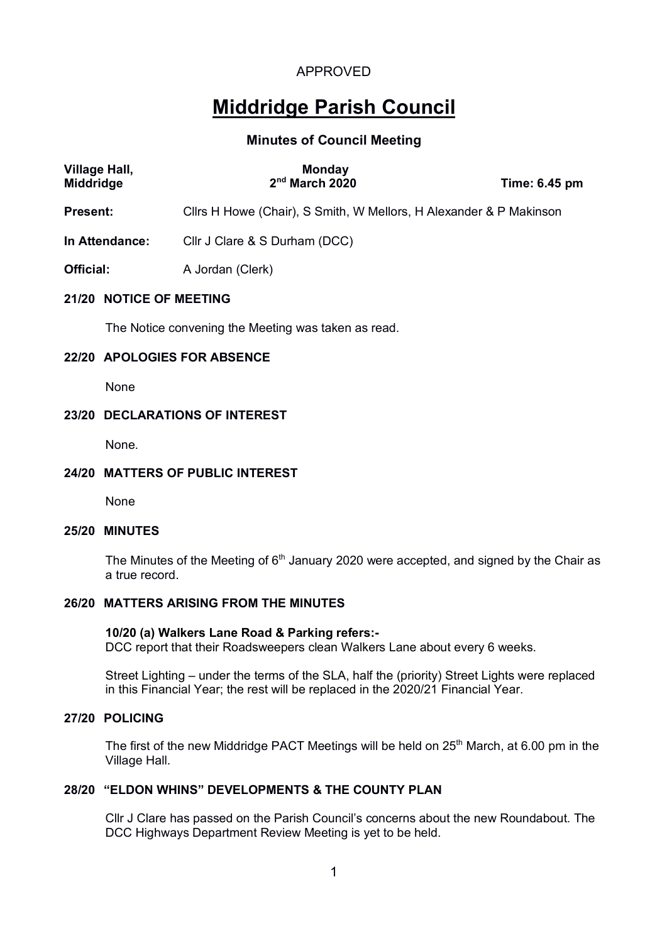# **Middridge Parish Council**

## **Minutes of Council Meeting**

| <b>Village Hall,</b><br><b>Middridge</b> | <b>Monday</b><br>$2nd$ March 2020                                  | Time: 6.45 pm |  |  |
|------------------------------------------|--------------------------------------------------------------------|---------------|--|--|
| <b>Present:</b>                          | Cllrs H Howe (Chair), S Smith, W Mellors, H Alexander & P Makinson |               |  |  |
| In Attendance:                           | Cllr J Clare & S Durham (DCC)                                      |               |  |  |
| Official:                                | A Jordan (Clerk)                                                   |               |  |  |
| 21/20 NOTICE OF MEETING                  |                                                                    |               |  |  |
|                                          | The Notice convening the Meeting was taken as read.                |               |  |  |

### **22/20 APOLOGIES FOR ABSENCE**

None

### **23/20 DECLARATIONS OF INTEREST**

None.

### **24/20 MATTERS OF PUBLIC INTEREST**

None

### **25/20 MINUTES**

The Minutes of the Meeting of  $6<sup>th</sup>$  January 2020 were accepted, and signed by the Chair as a true record.

### **26/20 MATTERS ARISING FROM THE MINUTES**

## **10/20 (a) Walkers Lane Road & Parking refers:-**

DCC report that their Roadsweepers clean Walkers Lane about every 6 weeks.

Street Lighting – under the terms of the SLA, half the (priority) Street Lights were replaced in this Financial Year; the rest will be replaced in the 2020/21 Financial Year.

### **27/20 POLICING**

The first of the new Middridge PACT Meetings will be held on 25<sup>th</sup> March, at 6.00 pm in the Village Hall.

### **28/20 "ELDON WHINS" DEVELOPMENTS & THE COUNTY PLAN**

Cllr J Clare has passed on the Parish Council's concerns about the new Roundabout. The DCC Highways Department Review Meeting is yet to be held.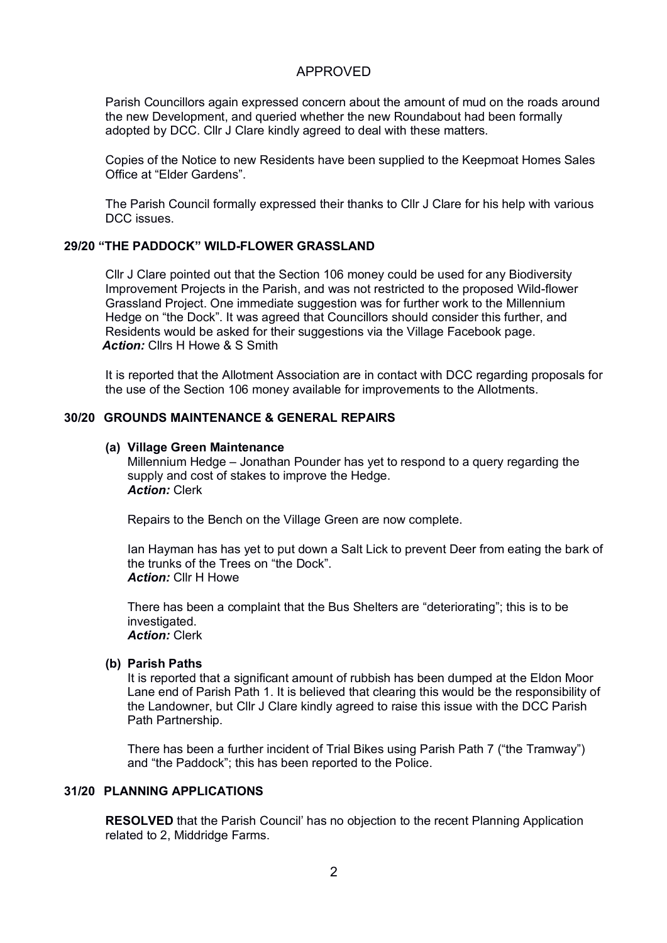Parish Councillors again expressed concern about the amount of mud on the roads around the new Development, and queried whether the new Roundabout had been formally adopted by DCC. Cllr J Clare kindly agreed to deal with these matters.

Copies of the Notice to new Residents have been supplied to the Keepmoat Homes Sales Office at "Elder Gardens".

The Parish Council formally expressed their thanks to Cllr J Clare for his help with various DCC issues.

### **29/20 "THE PADDOCK" WILD-FLOWER GRASSLAND**

Cllr J Clare pointed out that the Section 106 money could be used for any Biodiversity Improvement Projects in the Parish, and was not restricted to the proposed Wild-flower Grassland Project. One immediate suggestion was for further work to the Millennium Hedge on "the Dock". It was agreed that Councillors should consider this further, and Residents would be asked for their suggestions via the Village Facebook page. *Action:* Cllrs H Howe & S Smith

It is reported that the Allotment Association are in contact with DCC regarding proposals for the use of the Section 106 money available for improvements to the Allotments.

### **30/20 GROUNDS MAINTENANCE & GENERAL REPAIRS**

### **(a) Village Green Maintenance**

Millennium Hedge – Jonathan Pounder has yet to respond to a query regarding the supply and cost of stakes to improve the Hedge. *Action:* Clerk

Repairs to the Bench on the Village Green are now complete.

Ian Hayman has has yet to put down a Salt Lick to prevent Deer from eating the bark of the trunks of the Trees on "the Dock". *Action:* Cllr H Howe

There has been a complaint that the Bus Shelters are "deteriorating"; this is to be investigated. *Action:* Clerk

### **(b) Parish Paths**

It is reported that a significant amount of rubbish has been dumped at the Eldon Moor Lane end of Parish Path 1. It is believed that clearing this would be the responsibility of the Landowner, but Cllr J Clare kindly agreed to raise this issue with the DCC Parish Path Partnership.

There has been a further incident of Trial Bikes using Parish Path 7 ("the Tramway") and "the Paddock"; this has been reported to the Police.

### **31/20 PLANNING APPLICATIONS**

**RESOLVED** that the Parish Council' has no objection to the recent Planning Application related to 2, Middridge Farms.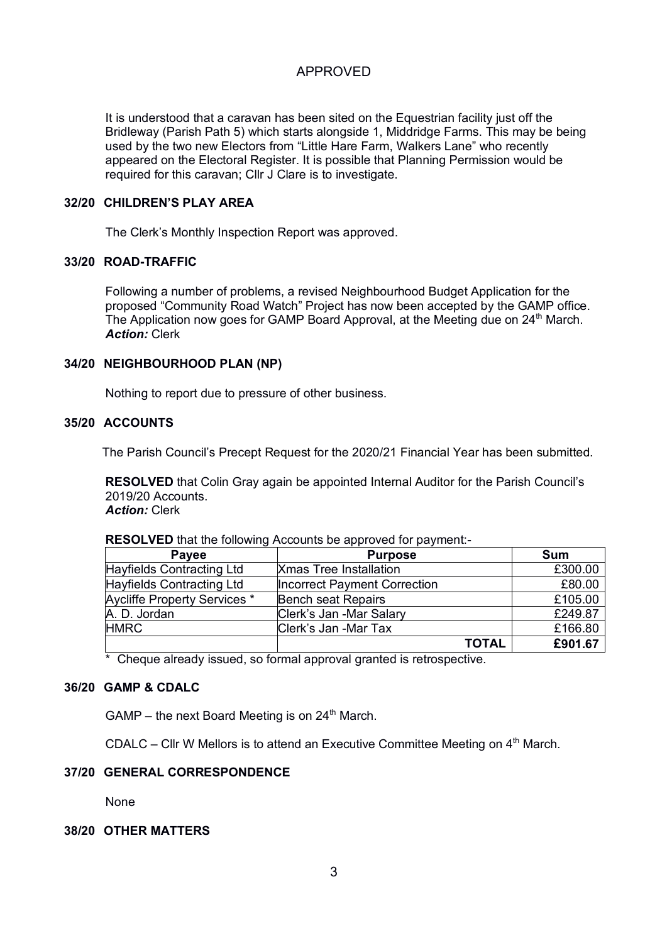It is understood that a caravan has been sited on the Equestrian facility just off the Bridleway (Parish Path 5) which starts alongside 1, Middridge Farms. This may be being used by the two new Electors from "Little Hare Farm, Walkers Lane" who recently appeared on the Electoral Register. It is possible that Planning Permission would be required for this caravan; Cllr J Clare is to investigate.

### **32/20 CHILDREN'S PLAY AREA**

The Clerk's Monthly Inspection Report was approved.

### **33/20 ROAD-TRAFFIC**

Following a number of problems, a revised Neighbourhood Budget Application for the proposed "Community Road Watch" Project has now been accepted by the GAMP office. The Application now goes for GAMP Board Approval, at the Meeting due on 24<sup>th</sup> March. *Action:* Clerk

### **34/20 NEIGHBOURHOOD PLAN (NP)**

Nothing to report due to pressure of other business.

### **35/20 ACCOUNTS**

The Parish Council's Precept Request for the 2020/21 Financial Year has been submitted.

**RESOLVED** that Colin Gray again be appointed Internal Auditor for the Parish Council's 2019/20 Accounts.

*Action:* Clerk

| RESOLVED that the following Accounts be approved for payment:- |  |  |  |  |  |
|----------------------------------------------------------------|--|--|--|--|--|
|----------------------------------------------------------------|--|--|--|--|--|

| <b>Payee</b>                 | <b>Purpose</b>                      | Sum     |
|------------------------------|-------------------------------------|---------|
| Hayfields Contracting Ltd    | <b>Xmas Tree Installation</b>       | £300.00 |
| Hayfields Contracting Ltd    | <b>Incorrect Payment Correction</b> | £80.00  |
| Aycliffe Property Services * | <b>Bench seat Repairs</b>           | £105.00 |
| A. D. Jordan                 | Clerk's Jan -Mar Salary             | £249.87 |
| <b>HMRC</b>                  | Clerk's Jan -Mar Tax                | £166.80 |
|                              | <b>TOTAL</b>                        | £901.67 |

\* Cheque already issued, so formal approval granted is retrospective.

### **36/20 GAMP & CDALC**

GAMP – the next Board Meeting is on  $24<sup>th</sup>$  March.

CDALC – Cllr W Mellors is to attend an Executive Committee Meeting on  $4<sup>th</sup>$  March.

# **37/20 GENERAL CORRESPONDENCE**

None

### **38/20 OTHER MATTERS**